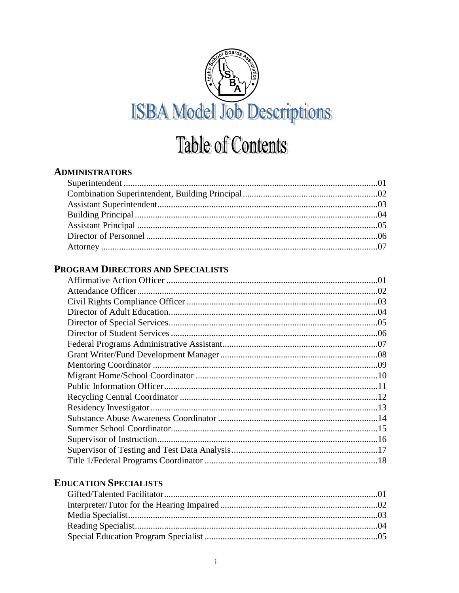

# **Table of Contents**

#### **ADMINISTRATORS**

## PROGRAM DIRECTORS AND SPECIALISTS

#### **EDUCATION SPECIALISTS**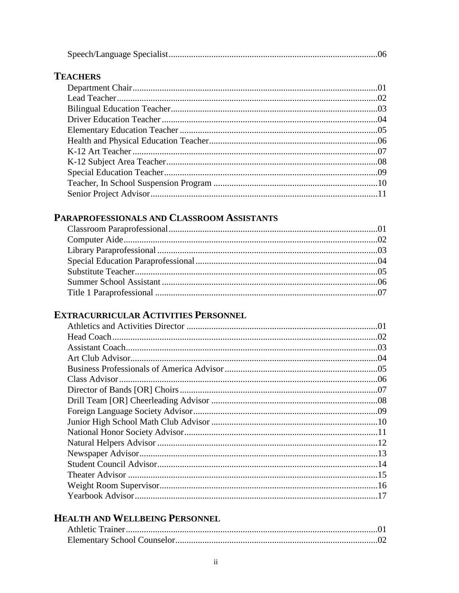# **TEACHERS**

# PARAPROFESSIONALS AND CLASSROOM ASSISTANTS

## **EXTRACURRICULAR ACTIVITIES PERSONNEL**

# HEALTH AND WELLBEING PERSONNEL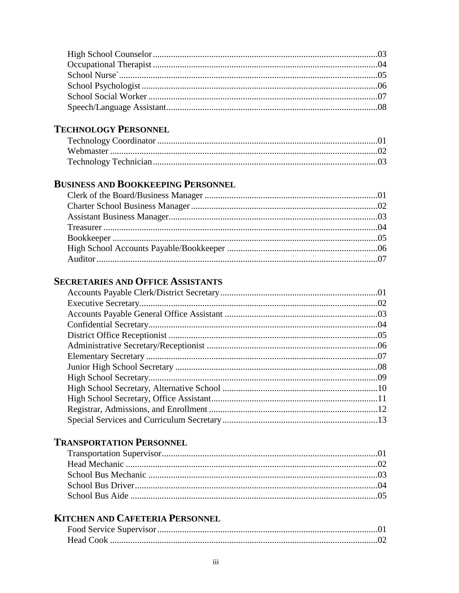## **TECHNOLOGY PERSONNEL**

# **BUSINESS AND BOOKKEEPING PERSONNEL**

## **SECRETARIES AND OFFICE ASSISTANTS**

## **TRANSPORTATION PERSONNEL**

# **KITCHEN AND CAFETERIA PERSONNEL**